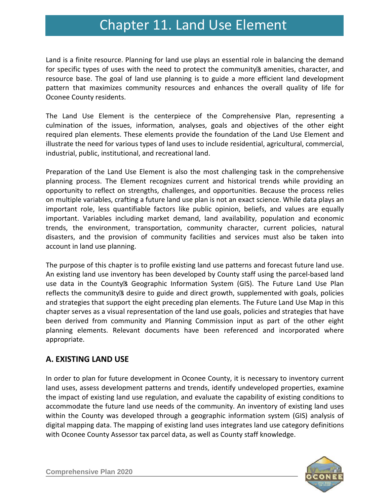# Chapter 11. Land Use Chapter 11. Land Use Element

Land is a finite resource. Planning for land use plays an essential role in balancing the demand for specific types of uses with the need to protect the community's amenities, character, and resource base. The goal of land use planning is to guide a more efficient land development pattern that maximizes community resources and enhances the overall quality of life for Oconee County residents.

The Land Use Element is the centerpiece of the Comprehensive Plan, representing a culmination of the issues, information, analyses, goals and objectives of the other eight required plan elements. These elements provide the foundation of the Land Use Element and illustrate the need for various types of land uses to include residential, agricultural, commercial, industrial, public, institutional, and recreational land.

Preparation of the Land Use Element is also the most challenging task in the comprehensive planning process. The Element recognizes current and historical trends while providing an opportunity to reflect on strengths, challenges, and opportunities. Because the process relies on multiple variables, crafting a future land use plan is not an exact science. While data plays an important role, less quantifiable factors like public opinion, beliefs, and values are equally important. Variables including market demand, land availability, population and economic trends, the environment, transportation, community character, current policies, natural disasters, and the provision of community facilities and services must also be taken into account in land use planning.

The purpose of this chapter is to profile existing land use patterns and forecast future land use. An existing land use inventory has been developed by County staff using the parcel-based land use data in the County's Geographic Information System (GIS). The Future Land Use Plan reflects the community's desire to guide and direct growth, supplemented with goals, policies and strategies that support the eight preceding plan elements. The Future Land Use Map in this chapter serves as a visual representation of the land use goals, policies and strategies that have been derived from community and Planning Commission input as part of the other eight planning elements. Relevant documents have been referenced and incorporated where appropriate.

### **A. EXISTING LAND USE**

In order to plan for future development in Oconee County, it is necessary to inventory current land uses, assess development patterns and trends, identify undeveloped properties, examine the impact of existing land use regulation, and evaluate the capability of existing conditions to accommodate the future land use needs of the community. An inventory of existing land uses within the County was developed through a geographic information system (GIS) analysis of digital mapping data. The mapping of existing land uses integrates land use category definitions with Oconee County Assessor tax parcel data, as well as County staff knowledge.

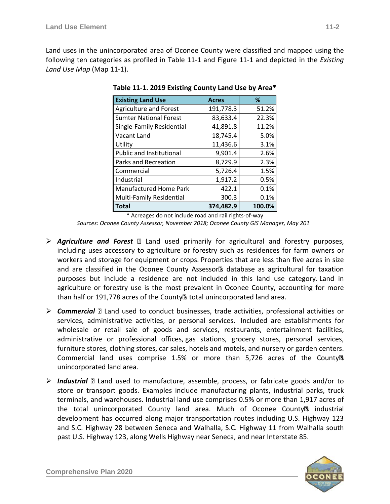Land uses in the unincorporated area of Oconee County were classified and mapped using the following ten categories as profiled in Table 11-1 and Figure 11-1 and depicted in the *Existing Land Use Map* (Map 11-1).

| <b>Existing Land Use</b>        | <b>Acres</b> | ℅      |
|---------------------------------|--------------|--------|
| <b>Agriculture and Forest</b>   | 191,778.3    | 51.2%  |
| <b>Sumter National Forest</b>   | 83,633.4     | 22.3%  |
| Single-Family Residential       | 41,891.8     | 11.2%  |
| Vacant Land                     | 18,745.4     | 5.0%   |
| Utility                         | 11,436.6     | 3.1%   |
| <b>Public and Institutional</b> | 9,901.4      | 2.6%   |
| Parks and Recreation            | 8,729.9      | 2.3%   |
| Commercial                      | 5,726.4      | 1.5%   |
| Industrial                      | 1,917.2      | 0.5%   |
| Manufactured Home Park          | 422.1        | 0.1%   |
| Multi-Family Residential        | 300.3        | 0.1%   |
| <b>Total</b>                    | 374,482.9    | 100.0% |

**Table 11-1. 2019 Existing County Land Use by Area\*** 

\* Acreages do not include road and rail rights-of-way

*Sources: Oconee County Assessor, November 2018; Oconee County GIS Manager, May 201*

- *Agriculture and Forest* Land used primarily for agricultural and forestry purposes, including uses accessory to agriculture or forestry such as residences for farm owners or workers and storage for equipment or crops. Properties that are less than five acres in size and are classified in the Oconee County Assessor's database as agricultural for taxation purposes but include a residence are not included in this land use category. Land in agriculture or forestry use is the most prevalent in Oconee County, accounting for more than half or 191,778 acres of the County's total unincorporated land area.
- *Commercial* Land used to conduct businesses, trade activities, professional activities or services, administrative activities, or personal services. Included are establishments for wholesale or retail sale of goods and services, restaurants, entertainment facilities, administrative or professional offices, gas stations, grocery stores, personal services, furniture stores, clothing stores, car sales, hotels and motels, and nursery or garden centers. Commercial land uses comprise 1.5% or more than 5,726 acres of the County's unincorporated land area.
- *Industrial*  Land used to manufacture, assemble, process, or fabricate goods and/or to store or transport goods. Examples include manufacturing plants, industrial parks, truck terminals, and warehouses. Industrial land use comprises 0.5% or more than 1,917 acres of the total unincorporated County land area. Much of Oconee County's industrial development has occurred along major transportation routes including U.S. Highway 123 and S.C. Highway 28 between Seneca and Walhalla, S.C. Highway 11 from Walhalla south past U.S. Highway 123, along Wells Highway near Seneca, and near Interstate 85.

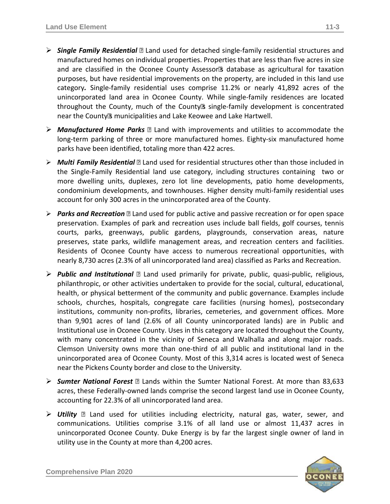- *Single Family Residential*  Land used for detached single-family residential structures and manufactured homes on individual properties. Properties that are less than five acres in size and are classified in the Oconee County Assessor's database as agricultural for taxation purposes, but have residential improvements on the property, are included in this land use category*.* Single-family residential uses comprise 11.2% or nearly 41,892 acres of the unincorporated land area in Oconee County. While single-family residences are located throughout the County, much of the County's single-family development is concentrated near the County's municipalities and Lake Keowee and Lake Hartwell.
- *Manufactured Home Parks*  Land with improvements and utilities to accommodate the long-term parking of three or more manufactured homes. Eighty-six manufactured home parks have been identified, totaling more than 422 acres.
- *Multi Family Residential*  Land used for residential structures other than those included in the Single-Family Residential land use category, including structures containing two or more dwelling units, duplexes, zero lot line developments, patio home developments, condominium developments, and townhouses. Higher density multi-family residential uses account for only 300 acres in the unincorporated area of the County.
- *Parks and Recreation*  Land used for public active and passive recreation or for open space preservation. Examples of park and recreation uses include ball fields, golf courses, tennis courts, parks, greenways, public gardens, playgrounds, conservation areas, nature preserves, state parks, wildlife management areas, and recreation centers and facilities. Residents of Oconee County have access to numerous recreational opportunities, with nearly 8,730 acres (2.3% of all unincorporated land area) classified as Parks and Recreation.
- *Public and Institutional*  Land used primarily for private, public, quasi-public, religious, philanthropic, or other activities undertaken to provide for the social, cultural, educational, health, or physical betterment of the community and public governance. Examples include schools, churches, hospitals, congregate care facilities (nursing homes), postsecondary institutions, community non-profits, libraries, cemeteries, and government offices. More than 9,901 acres of land (2.6% of all County unincorporated lands) are in Public and Institutional use in Oconee County. Uses in this category are located throughout the County, with many concentrated in the vicinity of Seneca and Walhalla and along major roads. Clemson University owns more than one-third of all public and institutional land in the unincorporated area of Oconee County. Most of this 3,314 acres is located west of Seneca near the Pickens County border and close to the University.
- *Sumter National Forest* Lands within the Sumter National Forest. At more than 83,633 acres, these Federally-owned lands comprise the second largest land use in Oconee County, accounting for 22.3% of all unincorporated land area.
- *Utility* Land used for utilities including electricity, natural gas, water, sewer, and communications. Utilities comprise 3.1% of all land use or almost 11,437 acres in unincorporated Oconee County. Duke Energy is by far the largest single owner of land in utility use in the County at more than 4,200 acres.

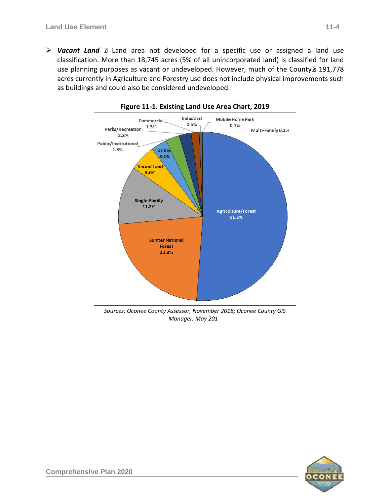*Vacant Land* – Land area not developed for a specific use or assigned a land use classification. More than 18,745 acres (5% of all unincorporated land) is classified for land use planning purposes as vacant or undeveloped. However, much of the County's 191,778 acres currently in Agriculture and Forestry use does not include physical improvements such as buildings and could also be considered undeveloped.



**Figure 11-1. Existing Land Use Area Chart, 2019**

*Sources: Oconee County Assessor, November 2018; Oconee County GIS Manager, May 201* 

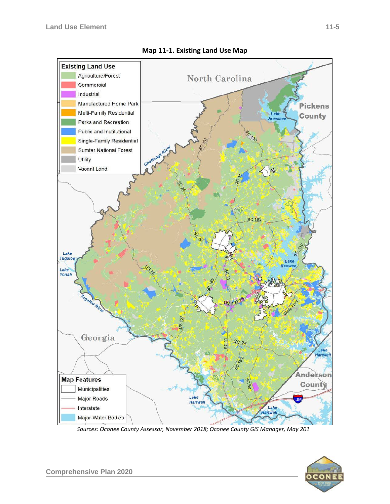

**Map 11-1. Existing Land Use Map**

*Sources: Oconee County Assessor, November 2018; Oconee County GIS Manager, May 2019*

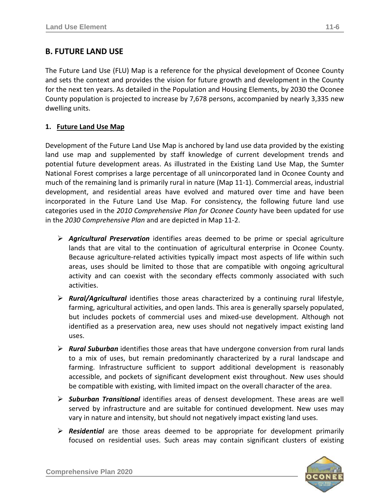The Future Land Use (FLU) Map is a reference for the physical development of Oconee County and sets the context and provides the vision for future growth and development in the County for the next ten years. As detailed in the Population and Housing Elements, by 2030 the Oconee County population is projected to increase by 7,678 persons, accompanied by nearly 3,335 new dwelling units.

#### **1. Future Land Use Map**

Development of the Future Land Use Map is anchored by land use data provided by the existing land use map and supplemented by staff knowledge of current development trends and potential future development areas. As illustrated in the Existing Land Use Map, the Sumter National Forest comprises a large percentage of all unincorporated land in Oconee County and much of the remaining land is primarily rural in nature (Map 11-1). Commercial areas, industrial development, and residential areas have evolved and matured over time and have been incorporated in the Future Land Use Map. For consistency, the following future land use categories used in the *2010 Comprehensive Plan for Oconee County* have been updated for use in the *2030 Comprehensive Plan* and are depicted in Map 11-2.

- *Agricultural Preservation* identifies areas deemed to be prime or special agriculture lands that are vital to the continuation of agricultural enterprise in Oconee County. Because agriculture-related activities typically impact most aspects of life within such areas, uses should be limited to those that are compatible with ongoing agricultural activity and can coexist with the secondary effects commonly associated with such activities.
- *Rural/Agricultural* identifies those areas characterized by a continuing rural lifestyle, farming, agricultural activities, and open lands. This area is generally sparsely populated, but includes pockets of commercial uses and mixed-use development. Although not identified as a preservation area, new uses should not negatively impact existing land uses.
- *Rural Suburban* identifies those areas that have undergone conversion from rural lands to a mix of uses, but remain predominantly characterized by a rural landscape and farming. Infrastructure sufficient to support additional development is reasonably accessible, and pockets of significant development exist throughout. New uses should be compatible with existing, with limited impact on the overall character of the area.
- *Suburban Transitional* identifies areas of densest development. These areas are well served by infrastructure and are suitable for continued development. New uses may vary in nature and intensity, but should not negatively impact existing land uses.
- *Residential* are those areas deemed to be appropriate for development primarily focused on residential uses. Such areas may contain significant clusters of existing

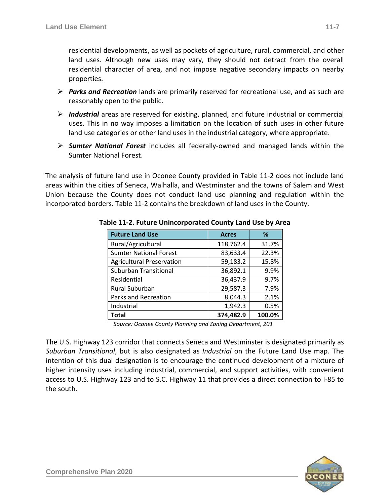residential developments, as well as pockets of agriculture, rural, commercial, and other land uses. Although new uses may vary, they should not detract from the overall residential character of area, and not impose negative secondary impacts on nearby properties.

- *Parks and Recreation* lands are primarily reserved for recreational use, and as such are reasonably open to the public.
- *Industrial* areas are reserved for existing, planned, and future industrial or commercial uses. This in no way imposes a limitation on the location of such uses in other future land use categories or other land uses in the industrial category, where appropriate.
- *Sumter National Forest* includes all federally-owned and managed lands within the Sumter National Forest.

The analysis of future land use in Oconee County provided in Table 11-2 does not include land areas within the cities of Seneca, Walhalla, and Westminster and the towns of Salem and West Union because the County does not conduct land use planning and regulation within the incorporated borders. Table 11-2 contains the breakdown of land uses in the County.

| <b>Future Land Use</b>           | <b>Acres</b> | %      |
|----------------------------------|--------------|--------|
| Rural/Agricultural               | 118,762.4    | 31.7%  |
| <b>Sumter National Forest</b>    | 83,633.4     | 22.3%  |
| <b>Agricultural Preservation</b> | 59,183.2     | 15.8%  |
| <b>Suburban Transitional</b>     | 36,892.1     | 9.9%   |
| Residential                      | 36,437.9     | 9.7%   |
| Rural Suburban                   | 29,587.3     | 7.9%   |
| Parks and Recreation             | 8,044.3      | 2.1%   |
| Industrial                       | 1,942.3      | 0.5%   |
| Total                            | 374,482.9    | 100.0% |

**Table 11-2. Future Unincorporated County Land Use by Area** 

*Source: Oconee County Planning and Zoning Department, 201*

The U.S. Highway 123 corridor that connects Seneca and Westminster is designated primarily as *Suburban Transitional*, but is also designated as *Industrial* on the Future Land Use map. The intention of this dual designation is to encourage the continued development of a mixture of higher intensity uses including industrial, commercial, and support activities, with convenient access to U.S. Highway 123 and to S.C. Highway 11 that provides a direct connection to I-85 to the south.

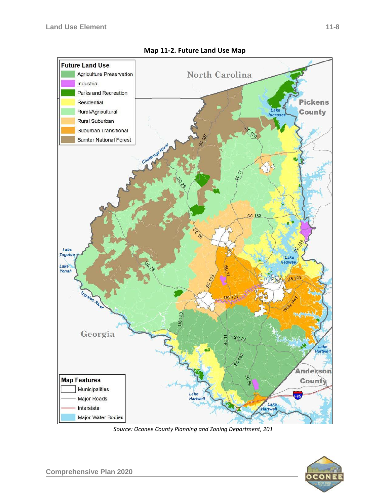

**Map 11-2. Future Land Use Map**

Source: Oconee County Planning and Zoning Department, 201

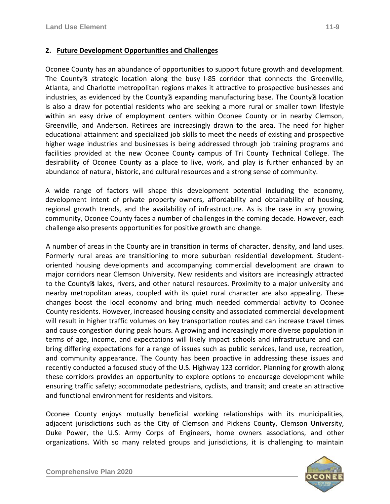#### **2. Future Development Opportunities and Challenges**

Oconee County has an abundance of opportunities to support future growth and development. The County's strategic location along the busy I-85 corridor that connects the Greenville, Atlanta, and Charlotte metropolitan regions makes it attractive to prospective businesses and industries, as evidenced by the County's expanding manufacturing base. The County's location is also a draw for potential residents who are seeking a more rural or smaller town lifestyle within an easy drive of employment centers within Oconee County or in nearby Clemson, Greenville, and Anderson. Retirees are increasingly drawn to the area. The need for higher educational attainment and specialized job skills to meet the needs of existing and prospective higher wage industries and businesses is being addressed through job training programs and facilities provided at the new Oconee County campus of Tri County Technical College. The desirability of Oconee County as a place to live, work, and play is further enhanced by an abundance of natural, historic, and cultural resources and a strong sense of community.

A wide range of factors will shape this development potential including the economy, development intent of private property owners, affordability and obtainability of housing, regional growth trends, and the availability of infrastructure. As is the case in any growing community, Oconee County faces a number of challenges in the coming decade. However, each challenge also presents opportunities for positive growth and change.

A number of areas in the County are in transition in terms of character, density, and land uses. Formerly rural areas are transitioning to more suburban residential development. Studentoriented housing developments and accompanying commercial development are drawn to major corridors near Clemson University. New residents and visitors are increasingly attracted to the County's lakes, rivers, and other natural resources. Proximity to a major university and nearby metropolitan areas, coupled with its quiet rural character are also appealing. These changes boost the local economy and bring much needed commercial activity to Oconee County residents. However, increased housing density and associated commercial development will result in higher traffic volumes on key transportation routes and can increase travel times and cause congestion during peak hours. A growing and increasingly more diverse population in terms of age, income, and expectations will likely impact schools and infrastructure and can bring differing expectations for a range of issues such as public services, land use, recreation, and community appearance. The County has been proactive in addressing these issues and recently conducted a focused study of the U.S. Highway 123 corridor. Planning for growth along these corridors provides an opportunity to explore options to encourage development while ensuring traffic safety; accommodate pedestrians, cyclists, and transit; and create an attractive and functional environment for residents and visitors.

Oconee County enjoys mutually beneficial working relationships with its municipalities, adjacent jurisdictions such as the City of Clemson and Pickens County, Clemson University, Duke Power, the U.S. Army Corps of Engineers, home owners associations, and other organizations. With so many related groups and jurisdictions, it is challenging to maintain

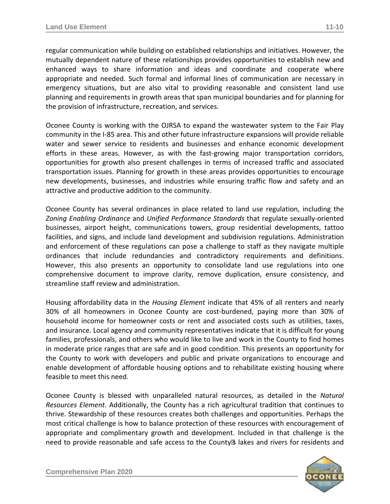regular communication while building on established relationships and initiatives. However, the mutually dependent nature of these relationships provides opportunities to establish new and enhanced ways to share information and ideas and coordinate and cooperate where appropriate and needed. Such formal and informal lines of communication are necessary in emergency situations, but are also vital to providing reasonable and consistent land use planning and requirements in growth areas that span municipal boundaries and for planning for the provision of infrastructure, recreation, and services.

Oconee County is working with the OJRSA to expand the wastewater system to the Fair Play community in the I-85 area. This and other future infrastructure expansions will provide reliable water and sewer service to residents and businesses and enhance economic development efforts in these areas. However, as with the fast-growing major transportation corridors, opportunities for growth also present challenges in terms of increased traffic and associated transportation issues. Planning for growth in these areas provides opportunities to encourage new developments, businesses, and industries while ensuring traffic flow and safety and an attractive and productive addition to the community.

Oconee County has several ordinances in place related to land use regulation, including the *Zoning Enabling Ordinance* and *Unified Performance Standards* that regulate sexually-oriented businesses, airport height, communications towers, group residential developments, tattoo facilities, and signs, and include land development and subdivision regulations. Administration and enforcement of these regulations can pose a challenge to staff as they navigate multiple ordinances that include redundancies and contradictory requirements and definitions. However, this also presents an opportunity to consolidate land use regulations into one comprehensive document to improve clarity, remove duplication, ensure consistency, and streamline staff review and administration.

Housing affordability data in the *Housing Element* indicate that 45% of all renters and nearly 30% of all homeowners in Oconee County are cost-burdened, paying more than 30% of household income for homeowner costs or rent and associated costs such as utilities, taxes, and insurance. Local agency and community representatives indicate that it is difficult for young families, professionals, and others who would like to live and work in the County to find homes in moderate price ranges that are safe and in good condition. This presents an opportunity for the County to work with developers and public and private organizations to encourage and enable development of affordable housing options and to rehabilitate existing housing where feasible to meet this need.

Oconee County is blessed with unparalleled natural resources, as detailed in the *Natural Resources Element*. Additionally, the County has a rich agricultural tradition that continues to thrive. Stewardship of these resources creates both challenges and opportunities. Perhaps the most critical challenge is how to balance protection of these resources with encouragement of appropriate and complimentary growth and development. Included in that challenge is the need to provide reasonable and safe access to the County's lakes and rivers for residents and

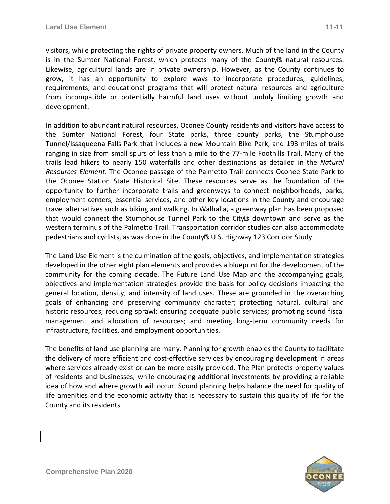visitors, while protecting the rights of private property owners. Much of the land in the County is in the Sumter National Forest, which protects many of the County's natural resources. Likewise, agricultural lands are in private ownership. However, as the County continues to grow, it has an opportunity to explore ways to incorporate procedures, guidelines, requirements, and educational programs that will protect natural resources and agriculture from incompatible or potentially harmful land uses without unduly limiting growth and development.

In addition to abundant natural resources, Oconee County residents and visitors have access to the Sumter National Forest, four State parks, three county parks, the Stumphouse Tunnel/Issaqueena Falls Park that includes a new Mountain Bike Park, and 193 miles of trails ranging in size from small spurs of less than a mile to the 77-mile Foothills Trail. Many of the trails lead hikers to nearly 150 waterfalls and other destinations as detailed in the *Natural Resources Element*. The Oconee passage of the Palmetto Trail connects Oconee State Park to the Oconee Station State Historical Site. These resources serve as the foundation of the opportunity to further incorporate trails and greenways to connect neighborhoods, parks, employment centers, essential services, and other key locations in the County and encourage travel alternatives such as biking and walking. In Walhalla, a greenway plan has been proposed that would connect the Stumphouse Tunnel Park to the City's downtown and serve as the western terminus of the Palmetto Trail. Transportation corridor studies can also accommodate pedestrians and cyclists, as was done in the County's U.S. Highway 123 Corridor Study.

The Land Use Element is the culmination of the goals, objectives, and implementation strategies developed in the other eight plan elements and provides a blueprint for the development of the community for the coming decade. The Future Land Use Map and the accompanying goals, objectives and implementation strategies provide the basis for policy decisions impacting the general location, density, and intensity of land uses. These are grounded in the overarching goals of enhancing and preserving community character; protecting natural, cultural and historic resources; reducing sprawl; ensuring adequate public services; promoting sound fiscal management and allocation of resources; and meeting long-term community needs for infrastructure, facilities, and employment opportunities.

The benefits of land use planning are many. Planning for growth enables the County to facilitate the delivery of more efficient and cost-effective services by encouraging development in areas where services already exist or can be more easily provided. The Plan protects property values of residents and businesses, while encouraging additional investments by providing a reliable idea of how and where growth will occur. Sound planning helps balance the need for quality of life amenities and the economic activity that is necessary to sustain this quality of life for the County and its residents.

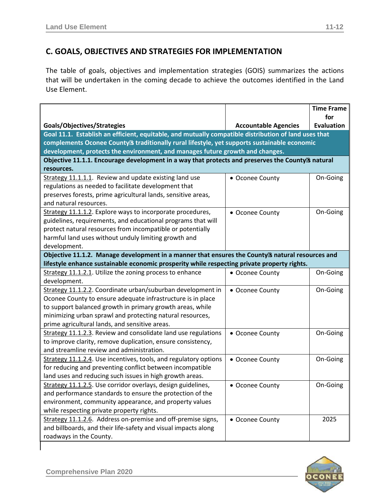## **C. GOALS, OBJECTIVES AND STRATEGIES FOR IMPLEMENTATION**

The table of goals, objectives and implementation strategies (GOIS) summarizes the actions that will be undertaken in the coming decade to achieve the outcomes identified in the Land Use Element.

|                                                                                                      |                             | <b>Time Frame</b> |  |
|------------------------------------------------------------------------------------------------------|-----------------------------|-------------------|--|
|                                                                                                      |                             | for               |  |
| Goals/Objectives/Strategies                                                                          | <b>Accountable Agencies</b> | <b>Evaluation</b> |  |
| Goal 11.1. Establish an efficient, equitable, and mutually compatible distribution of land uses that |                             |                   |  |
| complements Oconee County's traditionally rural lifestyle, yet supports sustainable economic         |                             |                   |  |
| development, protects the environment, and manages future growth and changes.                        |                             |                   |  |
| Objective 11.1.1. Encourage development in a way that protects and preserves the County's natural    |                             |                   |  |
| resources.                                                                                           |                             |                   |  |
| Strategy 11.1.1.1. Review and update existing land use                                               | • Oconee County             | On-Going          |  |
| regulations as needed to facilitate development that                                                 |                             |                   |  |
| preserves forests, prime agricultural lands, sensitive areas,                                        |                             |                   |  |
| and natural resources.                                                                               |                             |                   |  |
| Strategy 11.1.1.2. Explore ways to incorporate procedures,                                           | • Oconee County             | On-Going          |  |
| guidelines, requirements, and educational programs that will                                         |                             |                   |  |
| protect natural resources from incompatible or potentially                                           |                             |                   |  |
| harmful land uses without unduly limiting growth and                                                 |                             |                   |  |
| development.                                                                                         |                             |                   |  |
| Objective 11.1.2. Manage development in a manner that ensures the County's natural resources and     |                             |                   |  |
| lifestyle enhance sustainable economic prosperity while respecting private property rights.          |                             |                   |  |
| Strategy 11.1.2.1. Utilize the zoning process to enhance                                             | • Oconee County             | On-Going          |  |
| development.                                                                                         |                             |                   |  |
| Strategy 11.1.2.2. Coordinate urban/suburban development in                                          | • Oconee County             | On-Going          |  |
| Oconee County to ensure adequate infrastructure is in place                                          |                             |                   |  |
| to support balanced growth in primary growth areas, while                                            |                             |                   |  |
| minimizing urban sprawl and protecting natural resources,                                            |                             |                   |  |
| prime agricultural lands, and sensitive areas.                                                       |                             |                   |  |
| Strategy 11.1.2.3. Review and consolidate land use regulations                                       | • Oconee County             | On-Going          |  |
| to improve clarity, remove duplication, ensure consistency,                                          |                             |                   |  |
| and streamline review and administration.                                                            |                             |                   |  |
| Strategy 11.1.2.4. Use incentives, tools, and regulatory options                                     | • Oconee County             | On-Going          |  |
| for reducing and preventing conflict between incompatible                                            |                             |                   |  |
| land uses and reducing such issues in high growth areas.                                             |                             |                   |  |
| Strategy 11.1.2.5. Use corridor overlays, design guidelines,                                         | • Oconee County             | On-Going          |  |
| and performance standards to ensure the protection of the                                            |                             |                   |  |
| environment, community appearance, and property values                                               |                             |                   |  |
| while respecting private property rights.                                                            |                             |                   |  |
| Strategy 11.1.2.6. Address on-premise and off-premise signs,                                         | • Oconee County             | 2025              |  |
| and billboards, and their life-safety and visual impacts along                                       |                             |                   |  |
| roadways in the County.                                                                              |                             |                   |  |

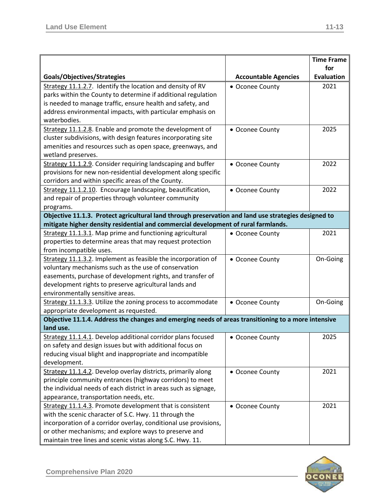|                                                                                                                                       | <b>Time Frame</b> |
|---------------------------------------------------------------------------------------------------------------------------------------|-------------------|
| for                                                                                                                                   |                   |
| Goals/Objectives/Strategies<br><b>Evaluation</b><br><b>Accountable Agencies</b>                                                       |                   |
| Strategy 11.1.2.7. Identify the location and density of RV<br>2021<br>• Oconee County                                                 |                   |
| parks within the County to determine if additional regulation                                                                         |                   |
| is needed to manage traffic, ensure health and safety, and                                                                            |                   |
| address environmental impacts, with particular emphasis on                                                                            |                   |
| waterbodies.                                                                                                                          |                   |
| Strategy 11.1.2.8. Enable and promote the development of<br>2025<br>• Oconee County                                                   |                   |
| cluster subdivisions, with design features incorporating site                                                                         |                   |
| amenities and resources such as open space, greenways, and                                                                            |                   |
| wetland preserves.                                                                                                                    |                   |
| Strategy 11.1.2.9. Consider requiring landscaping and buffer<br>2022<br>• Oconee County                                               |                   |
| provisions for new non-residential development along specific                                                                         |                   |
| corridors and within specific areas of the County.                                                                                    |                   |
| Strategy 11.1.2.10. Encourage landscaping, beautification,<br>2022<br>• Oconee County                                                 |                   |
| and repair of properties through volunteer community                                                                                  |                   |
| programs.                                                                                                                             |                   |
| Objective 11.1.3. Protect agricultural land through preservation and land use strategies designed to                                  |                   |
| mitigate higher density residential and commercial development of rural farmlands.                                                    |                   |
| Strategy 11.1.3.1. Map prime and functioning agricultural<br>2021<br>• Oconee County                                                  |                   |
| properties to determine areas that may request protection                                                                             |                   |
| from incompatible uses.                                                                                                               |                   |
| Strategy 11.1.3.2. Implement as feasible the incorporation of<br>On-Going<br>• Oconee County                                          |                   |
| voluntary mechanisms such as the use of conservation                                                                                  |                   |
| easements, purchase of development rights, and transfer of                                                                            |                   |
| development rights to preserve agricultural lands and                                                                                 |                   |
| environmentally sensitive areas.                                                                                                      |                   |
| Strategy 11.1.3.3. Utilize the zoning process to accommodate<br>On-Going<br>• Oconee County                                           |                   |
| appropriate development as requested.                                                                                                 |                   |
| Objective 11.1.4. Address the changes and emerging needs of areas transitioning to a more intensive<br>land use.                      |                   |
|                                                                                                                                       |                   |
| Strategy 11.1.4.1. Develop additional corridor plans focused<br>2025<br>• Oconee County                                               |                   |
| on safety and design issues but with additional focus on                                                                              |                   |
| reducing visual blight and inappropriate and incompatible                                                                             |                   |
| development.                                                                                                                          |                   |
| Strategy 11.1.4.2. Develop overlay districts, primarily along<br>2021<br>• Oconee County                                              |                   |
| principle community entrances (highway corridors) to meet                                                                             |                   |
| the individual needs of each district in areas such as signage,                                                                       |                   |
| appearance, transportation needs, etc.<br>2021                                                                                        |                   |
| Strategy 11.1.4.3. Promote development that is consistent<br>• Oconee County<br>with the scenic character of S.C. Hwy. 11 through the |                   |
| incorporation of a corridor overlay, conditional use provisions,                                                                      |                   |
| or other mechanisms; and explore ways to preserve and                                                                                 |                   |
| maintain tree lines and scenic vistas along S.C. Hwy. 11.                                                                             |                   |

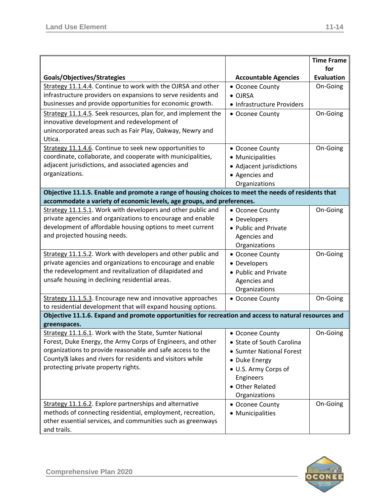|                                                                                                       |                             | <b>Time Frame</b>        |
|-------------------------------------------------------------------------------------------------------|-----------------------------|--------------------------|
| Goals/Objectives/Strategies                                                                           | <b>Accountable Agencies</b> | for<br><b>Evaluation</b> |
| Strategy 11.1.4.4. Continue to work with the OJRSA and other                                          | • Oconee County             | On-Going                 |
| infrastructure providers on expansions to serve residents and                                         | • OJRSA                     |                          |
| businesses and provide opportunities for economic growth.                                             |                             |                          |
|                                                                                                       | • Infrastructure Providers  |                          |
| Strategy 11.1.4.5. Seek resources, plan for, and implement the                                        | • Oconee County             | On-Going                 |
| innovative development and redevelopment of                                                           |                             |                          |
| unincorporated areas such as Fair Play, Oakway, Newry and<br>Utica.                                   |                             |                          |
|                                                                                                       |                             |                          |
| Strategy 11.1.4.6. Continue to seek new opportunities to                                              | • Oconee County             | On-Going                 |
| coordinate, collaborate, and cooperate with municipalities,                                           | • Municipalities            |                          |
| adjacent jurisdictions, and associated agencies and                                                   | • Adjacent jurisdictions    |                          |
| organizations.                                                                                        | • Agencies and              |                          |
|                                                                                                       | Organizations               |                          |
| Objective 11.1.5. Enable and promote a range of housing choices to meet the needs of residents that   |                             |                          |
| accommodate a variety of economic levels, age groups, and preferences.                                |                             |                          |
| Strategy 11.1.5.1. Work with developers and other public and                                          | • Oconee County             | On-Going                 |
| private agencies and organizations to encourage and enable                                            | • Developers                |                          |
| development of affordable housing options to meet current                                             | • Public and Private        |                          |
| and projected housing needs.                                                                          | Agencies and                |                          |
|                                                                                                       | Organizations               |                          |
| Strategy 11.1.5.2. Work with developers and other public and                                          | • Oconee County             | On-Going                 |
| private agencies and organizations to encourage and enable                                            | • Developers                |                          |
| the redevelopment and revitalization of dilapidated and                                               | • Public and Private        |                          |
| unsafe housing in declining residential areas.                                                        | Agencies and                |                          |
|                                                                                                       | Organizations               |                          |
| Strategy 11.1.5.3. Encourage new and innovative approaches                                            | • Oconee County             | On-Going                 |
| to residential development that will expand housing options.                                          |                             |                          |
| Objective 11.1.6. Expand and promote opportunities for recreation and access to natural resources and |                             |                          |
| greenspaces.                                                                                          |                             |                          |
| Strategy 11.1.6.1. Work with the State, Sumter National                                               | • Oconee County             | On-Going                 |
| Forest, Duke Energy, the Army Corps of Engineers, and other                                           | • State of South Carolina   |                          |
| organizations to provide reasonable and safe access to the                                            | • Sumter National Forest    |                          |
| County's lakes and rivers for residents and visitors while                                            | • Duke Energy               |                          |
| protecting private property rights.                                                                   | • U.S. Army Corps of        |                          |
|                                                                                                       | Engineers                   |                          |
|                                                                                                       | • Other Related             |                          |
|                                                                                                       | Organizations               |                          |
| Strategy 11.1.6.2. Explore partnerships and alternative                                               |                             | On-Going                 |
| methods of connecting residential, employment, recreation,                                            | • Oconee County             |                          |
| other essential services, and communities such as greenways                                           | • Municipalities            |                          |
|                                                                                                       |                             |                          |
| and trails.                                                                                           |                             |                          |